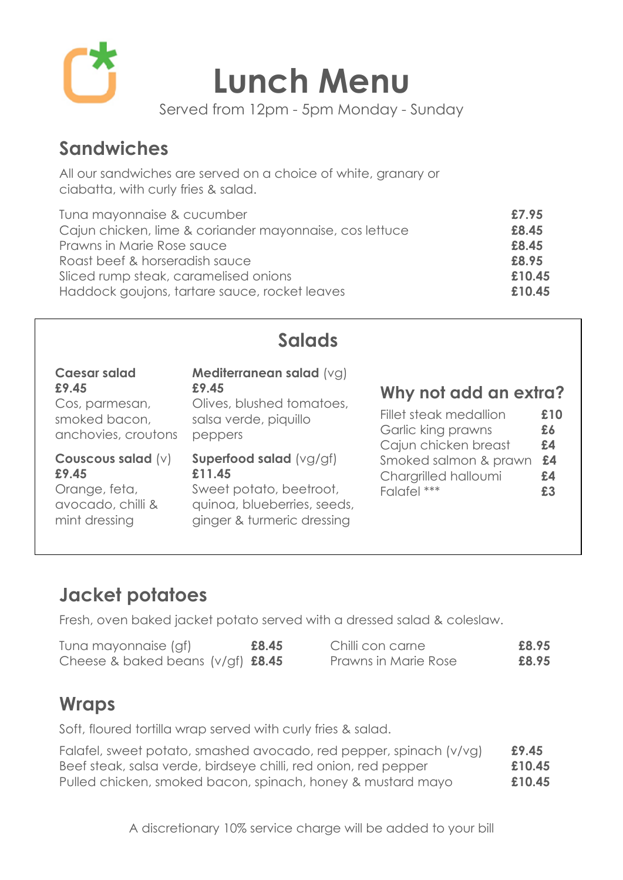

# **Lunch Menu**

Served from 12pm - 5pm Monday - Sunday

#### **Sandwiches**

All our sandwiches are served on a choice of white, granary or ciabatta, with curly fries & salad.

| Tuna mayonnaise & cucumber                              | £7.95  |
|---------------------------------------------------------|--------|
| Cajun chicken, lime & coriander mayonnaise, cos lettuce | £8.45  |
| Prawns in Marie Rose sauce                              | £8.45  |
| Roast beef & horseradish sauce                          | £8.95  |
| Sliced rump steak, caramelised onions                   | £10.45 |
| Haddock goujons, tartare sauce, rocket leaves           | £10.45 |

## **Salads**

| <b>Caesar salad</b><br>£9.45<br>Cos, parmesan,<br>smoked bacon,<br>anchovies, croutons | Mediterranean salad (vg)<br>£9.45<br>Olives, blushed tomatoes,<br>salsa verde, piquillo<br>peppers                        | Why not add an extra?<br>Fillet steak medallion<br>Garlic king prawns<br>Cajun chicken breast | £10<br>£6<br>£4 |
|----------------------------------------------------------------------------------------|---------------------------------------------------------------------------------------------------------------------------|-----------------------------------------------------------------------------------------------|-----------------|
| Couscous salad (v)<br>£9.45<br>Orange, feta,<br>avocado, chilli &<br>mint dressing     | Superfood salad (vg/gf)<br>£11.45<br>Sweet potato, beetroot,<br>quinoa, blueberries, seeds,<br>ginger & turmeric dressing | Smoked salmon & prawn<br>Chargrilled halloumi<br>Falafel ***                                  | £4<br>£4<br>£3  |

## **Jacket potatoes**

Fresh, oven baked jacket potato served with a dressed salad & coleslaw.

| Tuna mayonnaise (gf)                | £8.45 | Chilli con carne     | £8.95 |
|-------------------------------------|-------|----------------------|-------|
| Cheese & baked beans $(v/gf)$ £8.45 |       | Prawns in Marie Rose | £8.95 |

#### **Wraps**

Soft, floured tortilla wrap served with curly fries & salad.

| Falafel, sweet potato, smashed avocado, red pepper, spinach (v/vg) | £9.45  |
|--------------------------------------------------------------------|--------|
| Beef steak, salsa verde, birdseye chilli, red onion, red pepper    | £10.45 |
| Pulled chicken, smoked bacon, spinach, honey & mustard mayo        | £10.45 |